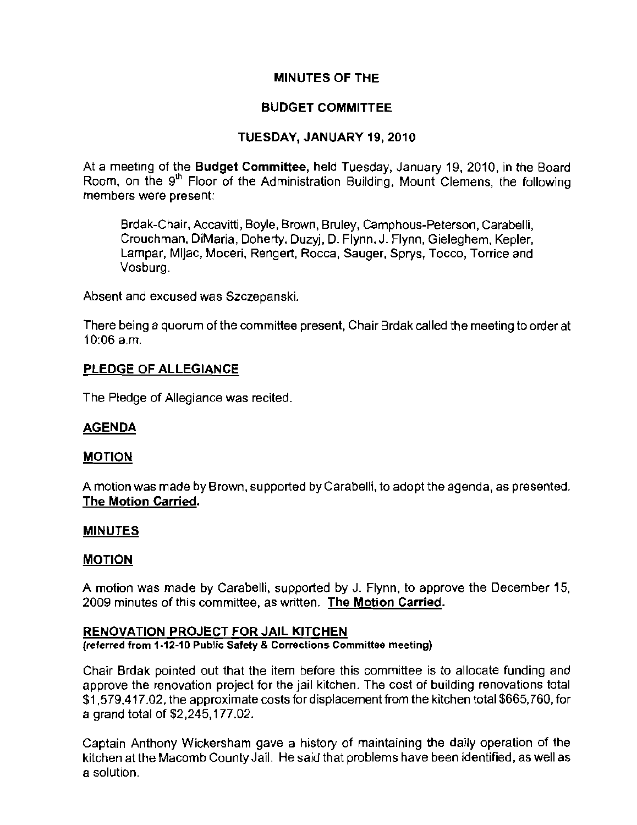# MINUTES OF THE

# BUDGET COMMITTEE

# TUESDAY, JANUARY 19, 2010

At a meeting of the Budget Committee, held Tuesday, January 19, 2010, in the Board Room, on the 9<sup>th</sup> Floor of the Administration Building, Mount Clemens, the following **members were present:** 

Brdak-Chair, Accavitti, Boyle, Brown, Bruley, Camphous-Peterson, Carabelli, Crouchman, DiMaria, Doherty, Duzyj, D. Flynn, J. Flynn, Gieleghem, Kepler, Lampar, Mijac, Moceri, Rengert, Rocca, Sauger, Sprys, Tocco, Torrice and Vosburg.

**Absent and excused was Szczepanski.** 

There being a quorum of the committee present, Chair Brdak called the meeting to order at 10:06 a.m.

## PLEDGE OF ALLEGIANCE

The Pledge of Allegiance was recited.

## AGENDA

#### **MOTION**

A motion was made by Brown, supported by Carabelli, to adopt the agenda, as presented. The Motion Carried.

#### MINUTES

#### MOTION

A motion was made by Carabelli, supported by J. Flynn, to approve the December 15, **2009 minutes of this committee, as written. The Motion Carried.** 

#### RENOVATION PROJECT FOR JAIL KITCHEN

**(referred from 1-12-10 Public Safety & Corrections Committee meeting)** 

Chair Brdak pointed out that the item before this committee is to allocate funding and approve the renovation project for the jail kitchen. The cost of building renovations total \$1,579,417.02, the approximate costs fordisplacement from the kitchen total \$665,760, for a grand total of \$2,245,177.02.

Captain Anthony Wickersham gave a history of maintaining the daily operation of the kitchen at the Macomb County Jail. He said that problems have been identified, as well as **a solution.**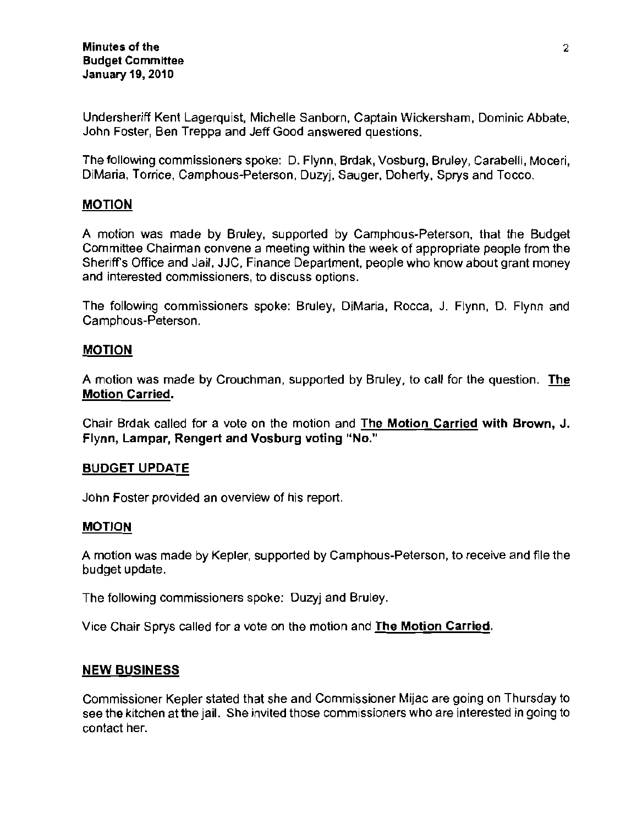Undersheriff Kent Lagerquist, Michelle Sanborn, Captain Wickersham, Dominic Abbate, John Foster, Ben Treppa and Jeff Good answered questions.

The following commissioners spoke: D. Flynn, Brdak, Vosburg, Bruley, Carabelli, Moceri, DiMaria, Torrice, Camphous-Peterson, Duzyj, Sauger, Doherty, Sprys and Tocco.

## MOTION

A motion was made by Bruley, supported by Camphous-Peterson, that the Budget **Committee Chairman convene a meeting within the week of appropriate people from the**  Sheriffs Office and Jail, JJC, Finance Department, people who know about grant money **and interested commissioners, to discuss options.** 

The following commissioners spoke: Bruley, DiMaria, Rocca, J. Flynn, D. Flynn and Camphous-Peterson.

## MOTION

A motion was made by Crouchman, supported by Bruley, to call for the question. The **Motion Carried.** 

Chair Brdak called for a vote on the motion and The Motion Carried with Brown, J. **Flynn, Lampar, Rengert and Vosburg voting "No."** 

#### BUDGET UPDATE

**John Foster provided an overview of his report.** 

#### MOTION

A motion was made by Kepler, supported by Camphous-Peterson, to receive and file the budget update.

The following commissioners spoke: Duzyj and Bruley.

Vice Chair Sprys called for a vote on the motion and The Motion Carried.

## **NEW** BUSINESS

Commissioner Kepler stated that she and Commissioner Mijac are going on Thursday to **see the kitchen at the jail. She invited those commissioners who are interested in going to**  contact her.